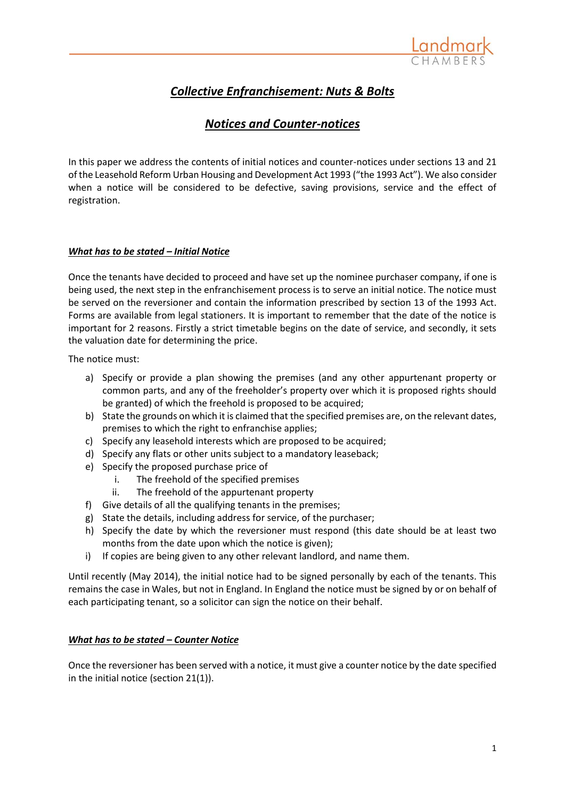

# *Collective Enfranchisement: Nuts & Bolts*

## *Notices and Counter-notices*

In this paper we address the contents of initial notices and counter-notices under sections 13 and 21 of the Leasehold Reform Urban Housing and Development Act 1993 ("the 1993 Act"). We also consider when a notice will be considered to be defective, saving provisions, service and the effect of registration.

## *What has to be stated – Initial Notice*

Once the tenants have decided to proceed and have set up the nominee purchaser company, if one is being used, the next step in the enfranchisement process is to serve an initial notice. The notice must be served on the reversioner and contain the information prescribed by section 13 of the 1993 Act. Forms are available from legal stationers. It is important to remember that the date of the notice is important for 2 reasons. Firstly a strict timetable begins on the date of service, and secondly, it sets the valuation date for determining the price.

The notice must:

- a) Specify or provide a plan showing the premises (and any other appurtenant property or common parts, and any of the freeholder's property over which it is proposed rights should be granted) of which the freehold is proposed to be acquired;
- b) State the grounds on which it is claimed that the specified premises are, on the relevant dates, premises to which the right to enfranchise applies;
- c) Specify any leasehold interests which are proposed to be acquired;
- d) Specify any flats or other units subject to a mandatory leaseback;
- e) Specify the proposed purchase price of
	- i. The freehold of the specified premises
	- ii. The freehold of the appurtenant property
- f) Give details of all the qualifying tenants in the premises;
- g) State the details, including address for service, of the purchaser;
- h) Specify the date by which the reversioner must respond (this date should be at least two months from the date upon which the notice is given);
- i) If copies are being given to any other relevant landlord, and name them.

Until recently (May 2014), the initial notice had to be signed personally by each of the tenants. This remains the case in Wales, but not in England. In England the notice must be signed by or on behalf of each participating tenant, so a solicitor can sign the notice on their behalf.

## *What has to be stated – Counter Notice*

Once the reversioner has been served with a notice, it must give a counter notice by the date specified in the initial notice (section 21(1)).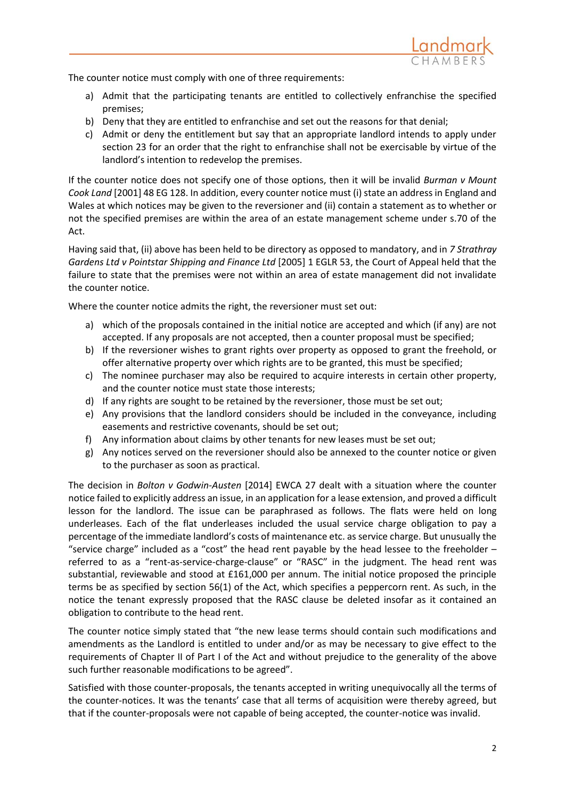

The counter notice must comply with one of three requirements:

- a) Admit that the participating tenants are entitled to collectively enfranchise the specified premises;
- b) Deny that they are entitled to enfranchise and set out the reasons for that denial;
- c) Admit or deny the entitlement but say that an appropriate landlord intends to apply under section 23 for an order that the right to enfranchise shall not be exercisable by virtue of the landlord's intention to redevelop the premises.

If the counter notice does not specify one of those options, then it will be invalid *Burman v Mount Cook Land* [2001] 48 EG 128. In addition, every counter notice must (i) state an address in England and Wales at which notices may be given to the reversioner and (ii) contain a statement as to whether or not the specified premises are within the area of an estate management scheme under s.70 of the Act.

Having said that, (ii) above has been held to be directory as opposed to mandatory, and in *7 Strathray Gardens Ltd v Pointstar Shipping and Finance Ltd* [2005] 1 EGLR 53, the Court of Appeal held that the failure to state that the premises were not within an area of estate management did not invalidate the counter notice.

Where the counter notice admits the right, the reversioner must set out:

- a) which of the proposals contained in the initial notice are accepted and which (if any) are not accepted. If any proposals are not accepted, then a counter proposal must be specified;
- b) If the reversioner wishes to grant rights over property as opposed to grant the freehold, or offer alternative property over which rights are to be granted, this must be specified;
- c) The nominee purchaser may also be required to acquire interests in certain other property, and the counter notice must state those interests;
- d) If any rights are sought to be retained by the reversioner, those must be set out;
- e) Any provisions that the landlord considers should be included in the conveyance, including easements and restrictive covenants, should be set out;
- f) Any information about claims by other tenants for new leases must be set out;
- g) Any notices served on the reversioner should also be annexed to the counter notice or given to the purchaser as soon as practical.

The decision in *Bolton v Godwin-Austen* [2014] EWCA 27 dealt with a situation where the counter notice failed to explicitly address an issue, in an application for a lease extension, and proved a difficult lesson for the landlord. The issue can be paraphrased as follows. The flats were held on long underleases. Each of the flat underleases included the usual service charge obligation to pay a percentage of the immediate landlord's costs of maintenance etc. as service charge. But unusually the "service charge" included as a "cost" the head rent payable by the head lessee to the freeholder  $$ referred to as a "rent-as-service-charge-clause" or "RASC" in the judgment. The head rent was substantial, reviewable and stood at £161,000 per annum. The initial notice proposed the principle terms be as specified by section 56(1) of the Act, which specifies a peppercorn rent. As such, in the notice the tenant expressly proposed that the RASC clause be deleted insofar as it contained an obligation to contribute to the head rent.

The counter notice simply stated that "the new lease terms should contain such modifications and amendments as the Landlord is entitled to under and/or as may be necessary to give effect to the requirements of Chapter II of Part I of the Act and without prejudice to the generality of the above such further reasonable modifications to be agreed".

Satisfied with those counter-proposals, the tenants accepted in writing unequivocally all the terms of the counter-notices. It was the tenants' case that all terms of acquisition were thereby agreed, but that if the counter-proposals were not capable of being accepted, the counter-notice was invalid.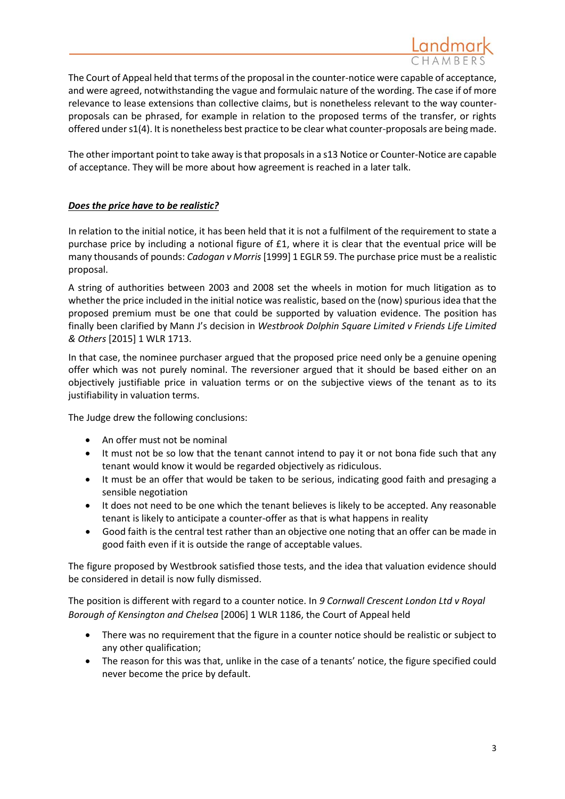

The Court of Appeal held that terms of the proposal in the counter-notice were capable of acceptance, and were agreed, notwithstanding the vague and formulaic nature of the wording. The case if of more relevance to lease extensions than collective claims, but is nonetheless relevant to the way counterproposals can be phrased, for example in relation to the proposed terms of the transfer, or rights offered under s1(4). It is nonetheless best practice to be clear what counter-proposals are being made.

The other important point to take away is that proposals in a s13 Notice or Counter-Notice are capable of acceptance. They will be more about how agreement is reached in a later talk.

## *Does the price have to be realistic?*

In relation to the initial notice, it has been held that it is not a fulfilment of the requirement to state a purchase price by including a notional figure of £1, where it is clear that the eventual price will be many thousands of pounds: *Cadogan v Morris* [1999] 1 EGLR 59. The purchase price must be a realistic proposal.

A string of authorities between 2003 and 2008 set the wheels in motion for much litigation as to whether the price included in the initial notice was realistic, based on the (now) spurious idea that the proposed premium must be one that could be supported by valuation evidence. The position has finally been clarified by Mann J's decision in *Westbrook Dolphin Square Limited v Friends Life Limited & Others* [2015] 1 WLR 1713.

In that case, the nominee purchaser argued that the proposed price need only be a genuine opening offer which was not purely nominal. The reversioner argued that it should be based either on an objectively justifiable price in valuation terms or on the subjective views of the tenant as to its justifiability in valuation terms.

The Judge drew the following conclusions:

- An offer must not be nominal
- It must not be so low that the tenant cannot intend to pay it or not bona fide such that any tenant would know it would be regarded objectively as ridiculous.
- It must be an offer that would be taken to be serious, indicating good faith and presaging a sensible negotiation
- It does not need to be one which the tenant believes is likely to be accepted. Any reasonable tenant is likely to anticipate a counter-offer as that is what happens in reality
- Good faith is the central test rather than an objective one noting that an offer can be made in good faith even if it is outside the range of acceptable values.

The figure proposed by Westbrook satisfied those tests, and the idea that valuation evidence should be considered in detail is now fully dismissed.

The position is different with regard to a counter notice. In *9 Cornwall Crescent London Ltd v Royal Borough of Kensington and Chelsea* [2006] 1 WLR 1186, the Court of Appeal held

- There was no requirement that the figure in a counter notice should be realistic or subject to any other qualification;
- The reason for this was that, unlike in the case of a tenants' notice, the figure specified could never become the price by default.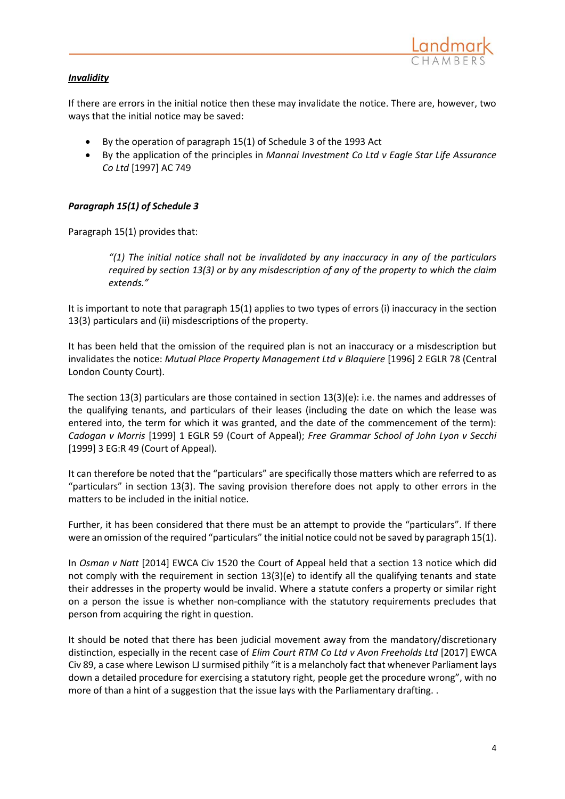

## *Invalidity*

If there are errors in the initial notice then these may invalidate the notice. There are, however, two ways that the initial notice may be saved:

- By the operation of paragraph 15(1) of Schedule 3 of the 1993 Act
- By the application of the principles in *Mannai Investment Co Ltd v Eagle Star Life Assurance Co Ltd* [1997] AC 749

#### *Paragraph 15(1) of Schedule 3*

Paragraph 15(1) provides that:

*"(1) The initial notice shall not be invalidated by any inaccuracy in any of the particulars required by section 13(3) or by any misdescription of any of the property to which the claim extends."*

It is important to note that paragraph 15(1) applies to two types of errors (i) inaccuracy in the section 13(3) particulars and (ii) misdescriptions of the property.

It has been held that the omission of the required plan is not an inaccuracy or a misdescription but invalidates the notice: *Mutual Place Property Management Ltd v Blaquiere* [1996] 2 EGLR 78 (Central London County Court).

The section 13(3) particulars are those contained in section 13(3)(e): i.e. the names and addresses of the qualifying tenants, and particulars of their leases (including the date on which the lease was entered into, the term for which it was granted, and the date of the commencement of the term): *Cadogan v Morris* [1999] 1 EGLR 59 (Court of Appeal); *Free Grammar School of John Lyon v Secchi* [1999] 3 EG:R 49 (Court of Appeal).

It can therefore be noted that the "particulars" are specifically those matters which are referred to as "particulars" in section 13(3). The saving provision therefore does not apply to other errors in the matters to be included in the initial notice.

Further, it has been considered that there must be an attempt to provide the "particulars". If there were an omission of the required "particulars" the initial notice could not be saved by paragraph 15(1).

In *Osman v Natt* [2014] EWCA Civ 1520 the Court of Appeal held that a section 13 notice which did not comply with the requirement in section 13(3)(e) to identify all the qualifying tenants and state their addresses in the property would be invalid. Where a statute confers a property or similar right on a person the issue is whether non-compliance with the statutory requirements precludes that person from acquiring the right in question.

It should be noted that there has been judicial movement away from the mandatory/discretionary distinction, especially in the recent case of *Elim Court RTM Co Ltd v Avon Freeholds Ltd* [2017] EWCA Civ 89, a case where Lewison LJ surmised pithily "it is a melancholy fact that whenever Parliament lays down a detailed procedure for exercising a statutory right, people get the procedure wrong", with no more of than a hint of a suggestion that the issue lays with the Parliamentary drafting. .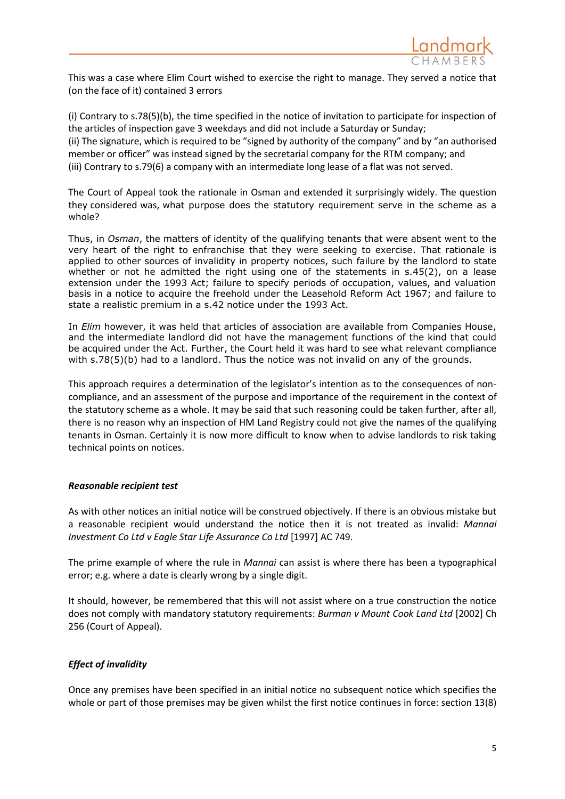

This was a case where Elim Court wished to exercise the right to manage. They served a notice that (on the face of it) contained 3 errors

(i) Contrary to s.78(5)(b), the time specified in the notice of invitation to participate for inspection of the articles of inspection gave 3 weekdays and did not include a Saturday or Sunday; (ii) The signature, which is required to be "signed by authority of the company" and by "an authorised member or officer" was instead signed by the secretarial company for the RTM company; and (iii) Contrary to s.79(6) a company with an intermediate long lease of a flat was not served.

The Court of Appeal took the rationale in Osman and extended it surprisingly widely. The question they considered was, what purpose does the statutory requirement serve in the scheme as a whole?

Thus, in *Osman*, the matters of identity of the qualifying tenants that were absent went to the very heart of the right to enfranchise that they were seeking to exercise. That rationale is applied to other sources of invalidity in property notices, such failure by the landlord to state whether or not he admitted the right using one of the statements in s.45(2), on a lease extension under the 1993 Act; failure to specify periods of occupation, values, and valuation basis in a notice to acquire the freehold under the Leasehold Reform Act 1967; and failure to state a realistic premium in a s.42 notice under the 1993 Act.

In *Elim* however, it was held that articles of association are available from Companies House, and the intermediate landlord did not have the management functions of the kind that could be acquired under the Act. Further, the Court held it was hard to see what relevant compliance with s.78(5)(b) had to a landlord. Thus the notice was not invalid on any of the grounds.

This approach requires a determination of the legislator's intention as to the consequences of noncompliance, and an assessment of the purpose and importance of the requirement in the context of the statutory scheme as a whole. It may be said that such reasoning could be taken further, after all, there is no reason why an inspection of HM Land Registry could not give the names of the qualifying tenants in Osman. Certainly it is now more difficult to know when to advise landlords to risk taking technical points on notices.

#### *Reasonable recipient test*

As with other notices an initial notice will be construed objectively. If there is an obvious mistake but a reasonable recipient would understand the notice then it is not treated as invalid: *Mannai Investment Co Ltd v Eagle Star Life Assurance Co Ltd* [1997] AC 749.

The prime example of where the rule in *Mannai* can assist is where there has been a typographical error; e.g. where a date is clearly wrong by a single digit.

It should, however, be remembered that this will not assist where on a true construction the notice does not comply with mandatory statutory requirements: *Burman v Mount Cook Land Ltd* [2002] Ch 256 (Court of Appeal).

## *Effect of invalidity*

Once any premises have been specified in an initial notice no subsequent notice which specifies the whole or part of those premises may be given whilst the first notice continues in force: section 13(8)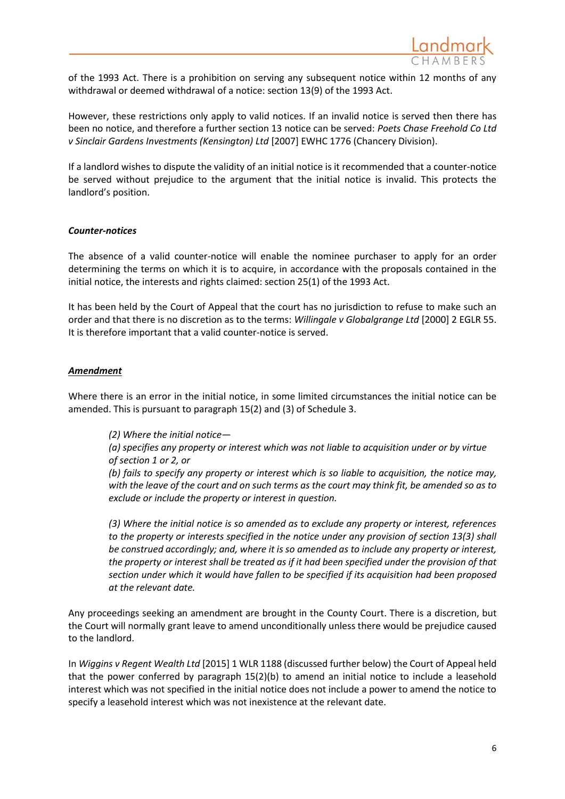

of the 1993 Act. There is a prohibition on serving any subsequent notice within 12 months of any withdrawal or deemed withdrawal of a notice: section 13(9) of the 1993 Act.

However, these restrictions only apply to valid notices. If an invalid notice is served then there has been no notice, and therefore a further section 13 notice can be served: *Poets Chase Freehold Co Ltd v Sinclair Gardens Investments (Kensington) Ltd* [2007] EWHC 1776 (Chancery Division).

If a landlord wishes to dispute the validity of an initial notice is it recommended that a counter-notice be served without prejudice to the argument that the initial notice is invalid. This protects the landlord's position.

#### *Counter-notices*

The absence of a valid counter-notice will enable the nominee purchaser to apply for an order determining the terms on which it is to acquire, in accordance with the proposals contained in the initial notice, the interests and rights claimed: section 25(1) of the 1993 Act.

It has been held by the Court of Appeal that the court has no jurisdiction to refuse to make such an order and that there is no discretion as to the terms: *Willingale v Globalgrange Ltd* [2000] 2 EGLR 55. It is therefore important that a valid counter-notice is served.

#### *Amendment*

Where there is an error in the initial notice, in some limited circumstances the initial notice can be amended. This is pursuant to paragraph 15(2) and (3) of Schedule 3.

*(2) Where the initial notice—*

*(a) specifies any property or interest which was not liable to acquisition under or by virtue of section 1 or 2, or*

*(b) fails to specify any property or interest which is so liable to acquisition, the notice may, with the leave of the court and on such terms as the court may think fit, be amended so as to exclude or include the property or interest in question.*

*(3) Where the initial notice is so amended as to exclude any property or interest, references to the property or interests specified in the notice under any provision of section 13(3) shall be construed accordingly; and, where it is so amended as to include any property or interest, the property or interest shall be treated as if it had been specified under the provision of that section under which it would have fallen to be specified if its acquisition had been proposed at the relevant date.*

Any proceedings seeking an amendment are brought in the County Court. There is a discretion, but the Court will normally grant leave to amend unconditionally unless there would be prejudice caused to the landlord.

In *Wiggins v Regent Wealth Ltd* [2015] 1 WLR 1188 (discussed further below) the Court of Appeal held that the power conferred by paragraph 15(2)(b) to amend an initial notice to include a leasehold interest which was not specified in the initial notice does not include a power to amend the notice to specify a leasehold interest which was not inexistence at the relevant date.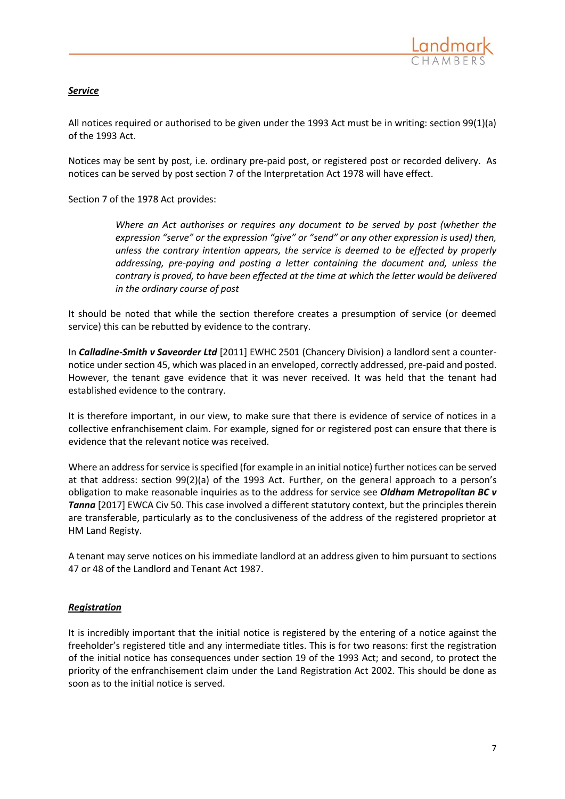## *Service*

All notices required or authorised to be given under the 1993 Act must be in writing: section 99(1)(a) of the 1993 Act.

Notices may be sent by post, i.e. ordinary pre-paid post, or registered post or recorded delivery. As notices can be served by post section 7 of the Interpretation Act 1978 will have effect.

Section 7 of the 1978 Act provides:

*Where an Act authorises or requires any document to be served by post (whether the expression "serve" or the expression "give" or "send" or any other expression is used) then, unless the contrary intention appears, the service is deemed to be effected by properly addressing, pre-paying and posting a letter containing the document and, unless the contrary is proved, to have been effected at the time at which the letter would be delivered in the ordinary course of post*

It should be noted that while the section therefore creates a presumption of service (or deemed service) this can be rebutted by evidence to the contrary.

In *Calladine-Smith v Saveorder Ltd* [2011] EWHC 2501 (Chancery Division) a landlord sent a counternotice under section 45, which was placed in an enveloped, correctly addressed, pre-paid and posted. However, the tenant gave evidence that it was never received. It was held that the tenant had established evidence to the contrary.

It is therefore important, in our view, to make sure that there is evidence of service of notices in a collective enfranchisement claim. For example, signed for or registered post can ensure that there is evidence that the relevant notice was received.

Where an address for service is specified (for example in an initial notice) further notices can be served at that address: section 99(2)(a) of the 1993 Act. Further, on the general approach to a person's obligation to make reasonable inquiries as to the address for service see *Oldham Metropolitan BC v Tanna* [2017] EWCA Civ 50. This case involved a different statutory context, but the principles therein are transferable, particularly as to the conclusiveness of the address of the registered proprietor at HM Land Registy.

A tenant may serve notices on his immediate landlord at an address given to him pursuant to sections 47 or 48 of the Landlord and Tenant Act 1987.

## *Registration*

It is incredibly important that the initial notice is registered by the entering of a notice against the freeholder's registered title and any intermediate titles. This is for two reasons: first the registration of the initial notice has consequences under section 19 of the 1993 Act; and second, to protect the priority of the enfranchisement claim under the Land Registration Act 2002. This should be done as soon as to the initial notice is served.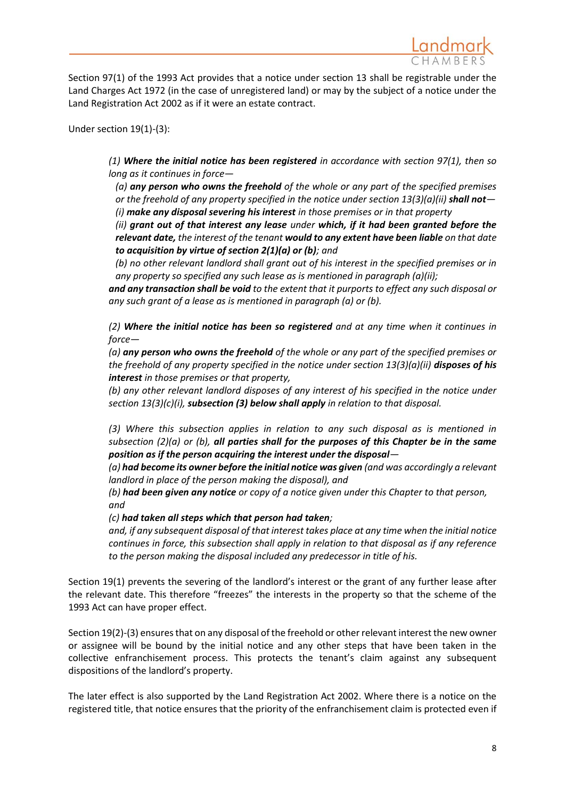

Section 97(1) of the 1993 Act provides that a notice under section 13 shall be registrable under the Land Charges Act 1972 (in the case of unregistered land) or may by the subject of a notice under the Land Registration Act 2002 as if it were an estate contract.

Under section 19(1)-(3):

*(1) Where the initial notice has been registered in accordance with section 97(1), then so long as it continues in force—*

*(a) any person who owns the freehold of the whole or any part of the specified premises or the freehold of any property specified in the notice under section 13(3)(a)(ii) shall not— (i) make any disposal severing his interest in those premises or in that property*

*(ii) grant out of that interest any lease under which, if it had been granted before the relevant date, the interest of the tenant would to any extent have been liable on that date to acquisition by virtue of section 2(1)(a) or (b); and*

*(b) no other relevant landlord shall grant out of his interest in the specified premises or in any property so specified any such lease as is mentioned in paragraph (a)(ii);* 

*and any transaction shall be void to the extent that it purports to effect any such disposal or any such grant of a lease as is mentioned in paragraph (a) or (b).*

*(2) Where the initial notice has been so registered and at any time when it continues in force—*

*(a) any person who owns the freehold of the whole or any part of the specified premises or the freehold of any property specified in the notice under section 13(3)(a)(ii) disposes of his interest in those premises or that property,* 

*(b) any other relevant landlord disposes of any interest of his specified in the notice under section 13(3)(c)(i), subsection (3) below shall apply in relation to that disposal.*

*(3) Where this subsection applies in relation to any such disposal as is mentioned in subsection (2)(a) or (b), all parties shall for the purposes of this Chapter be in the same position as if the person acquiring the interest under the disposal—*

*(a) had become its owner before the initial notice was given (and was accordingly a relevant landlord in place of the person making the disposal), and*

*(b) had been given any notice or copy of a notice given under this Chapter to that person, and*

*(c) had taken all steps which that person had taken;*

*and, if any subsequent disposal of that interest takes place at any time when the initial notice continues in force, this subsection shall apply in relation to that disposal as if any reference to the person making the disposal included any predecessor in title of his.*

Section 19(1) prevents the severing of the landlord's interest or the grant of any further lease after the relevant date. This therefore "freezes" the interests in the property so that the scheme of the 1993 Act can have proper effect.

Section 19(2)-(3) ensures that on any disposal of the freehold or other relevant interest the new owner or assignee will be bound by the initial notice and any other steps that have been taken in the collective enfranchisement process. This protects the tenant's claim against any subsequent dispositions of the landlord's property.

The later effect is also supported by the Land Registration Act 2002. Where there is a notice on the registered title, that notice ensures that the priority of the enfranchisement claim is protected even if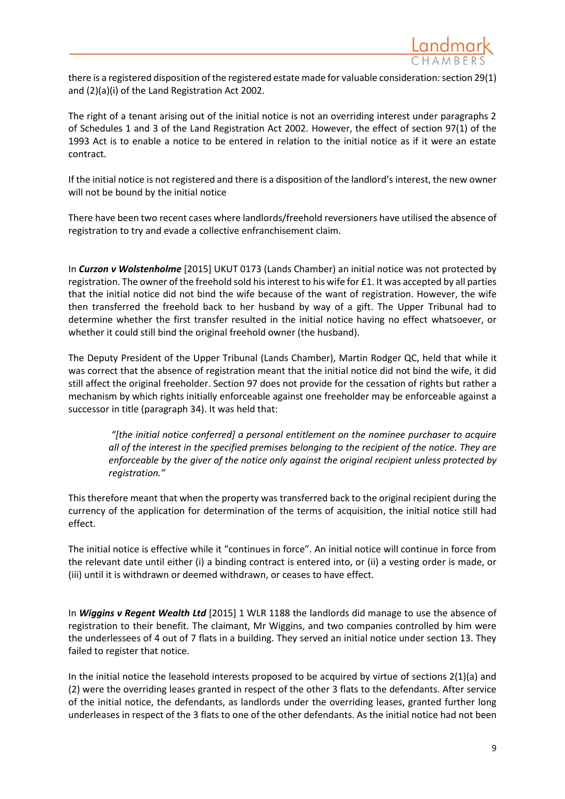

there is a registered disposition of the registered estate made for valuable consideration: section 29(1) and (2)(a)(i) of the Land Registration Act 2002.

The right of a tenant arising out of the initial notice is not an overriding interest under paragraphs 2 of Schedules 1 and 3 of the Land Registration Act 2002. However, the effect of section 97(1) of the 1993 Act is to enable a notice to be entered in relation to the initial notice as if it were an estate contract.

If the initial notice is not registered and there is a disposition of the landlord's interest, the new owner will not be bound by the initial notice

There have been two recent cases where landlords/freehold reversioners have utilised the absence of registration to try and evade a collective enfranchisement claim.

In *Curzon v Wolstenholme* [2015] UKUT 0173 (Lands Chamber) an initial notice was not protected by registration. The owner of the freehold sold his interest to his wife for £1. It was accepted by all parties that the initial notice did not bind the wife because of the want of registration. However, the wife then transferred the freehold back to her husband by way of a gift. The Upper Tribunal had to determine whether the first transfer resulted in the initial notice having no effect whatsoever, or whether it could still bind the original freehold owner (the husband).

The Deputy President of the Upper Tribunal (Lands Chamber), Martin Rodger QC, held that while it was correct that the absence of registration meant that the initial notice did not bind the wife, it did still affect the original freeholder. Section 97 does not provide for the cessation of rights but rather a mechanism by which rights initially enforceable against one freeholder may be enforceable against a successor in title (paragraph 34). It was held that:

*"[the initial notice conferred] a personal entitlement on the nominee purchaser to acquire all of the interest in the specified premises belonging to the recipient of the notice. They are enforceable by the giver of the notice only against the original recipient unless protected by registration."*

This therefore meant that when the property was transferred back to the original recipient during the currency of the application for determination of the terms of acquisition, the initial notice still had effect.

The initial notice is effective while it "continues in force". An initial notice will continue in force from the relevant date until either (i) a binding contract is entered into, or (ii) a vesting order is made, or (iii) until it is withdrawn or deemed withdrawn, or ceases to have effect.

In *Wiggins v Regent Wealth Ltd* [2015] 1 WLR 1188 the landlords did manage to use the absence of registration to their benefit. The claimant, Mr Wiggins, and two companies controlled by him were the underlessees of 4 out of 7 flats in a building. They served an initial notice under section 13. They failed to register that notice.

In the initial notice the leasehold interests proposed to be acquired by virtue of sections 2(1)(a) and (2) were the overriding leases granted in respect of the other 3 flats to the defendants. After service of the initial notice, the defendants, as landlords under the overriding leases, granted further long underleases in respect of the 3 flats to one of the other defendants. As the initial notice had not been